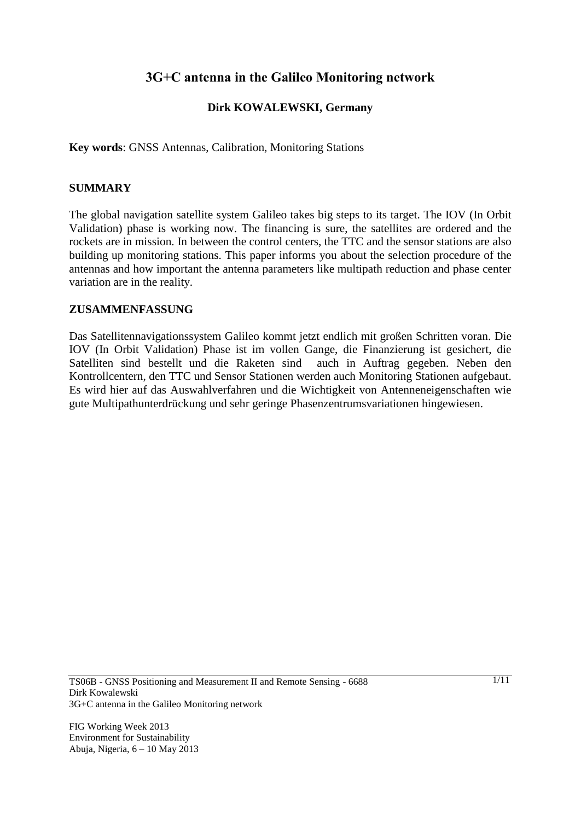# **3G+C antenna in the Galileo Monitoring network**

## **Dirk KOWALEWSKI, Germany**

**Key words**: GNSS Antennas, Calibration, Monitoring Stations

#### **SUMMARY**

The global navigation satellite system Galileo takes big steps to its target. The IOV (In Orbit Validation) phase is working now. The financing is sure, the satellites are ordered and the rockets are in mission. In between the control centers, the TTC and the sensor stations are also building up monitoring stations. This paper informs you about the selection procedure of the antennas and how important the antenna parameters like multipath reduction and phase center variation are in the reality.

#### **ZUSAMMENFASSUNG**

Das Satellitennavigationssystem Galileo kommt jetzt endlich mit großen Schritten voran. Die IOV (In Orbit Validation) Phase ist im vollen Gange, die Finanzierung ist gesichert, die Satelliten sind bestellt und die Raketen sind auch in Auftrag gegeben. Neben den Kontrollcentern, den TTC und Sensor Stationen werden auch Monitoring Stationen aufgebaut. Es wird hier auf das Auswahlverfahren und die Wichtigkeit von Antenneneigenschaften wie gute Multipathunterdrückung und sehr geringe Phasenzentrumsvariationen hingewiesen.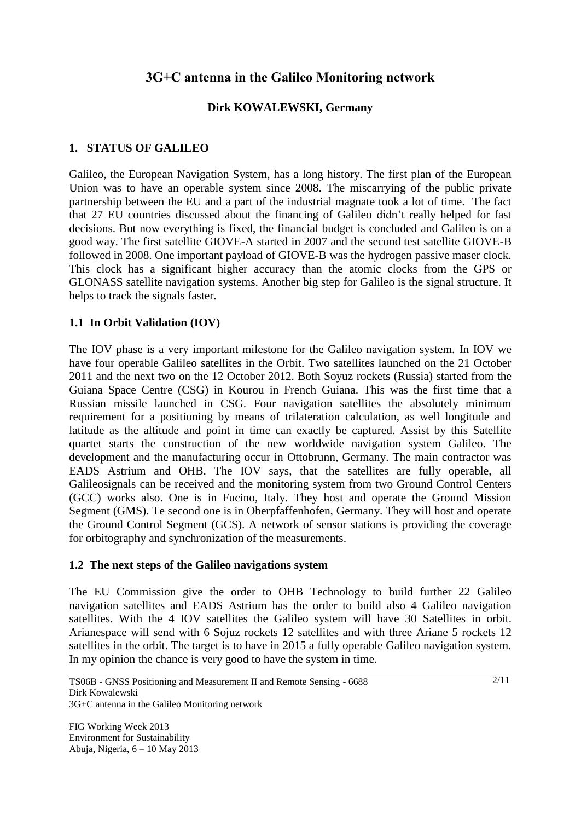# **3G+C antenna in the Galileo Monitoring network**

## **Dirk KOWALEWSKI, Germany**

## **1. STATUS OF GALILEO**

Galileo, the European Navigation System, has a long history. The first plan of the European Union was to have an operable system since 2008. The miscarrying of the public private partnership between the EU and a part of the industrial magnate took a lot of time. The fact that 27 EU countries discussed about the financing of Galileo didn't really helped for fast decisions. But now everything is fixed, the financial budget is concluded and Galileo is on a good way. The first satellite GIOVE-A started in 2007 and the second test satellite GIOVE-B followed in 2008. One important payload of GIOVE-B was the hydrogen passive maser clock. This clock has a significant higher accuracy than the atomic clocks from the GPS or GLONASS satellite navigation systems. Another big step for Galileo is the signal structure. It helps to track the signals faster.

## **1.1 In Orbit Validation (IOV)**

The IOV phase is a very important milestone for the Galileo navigation system. In IOV we have four operable Galileo satellites in the Orbit. Two satellites launched on the 21 October 2011 and the next two on the 12 October 2012. Both Soyuz rockets (Russia) started from the Guiana Space Centre (CSG) in Kourou in French Guiana. This was the first time that a Russian missile launched in CSG. Four navigation satellites the absolutely minimum requirement for a positioning by means of trilateration calculation, as well longitude and latitude as the altitude and point in time can exactly be captured. Assist by this Satellite quartet starts the construction of the new worldwide navigation system Galileo. The development and the manufacturing occur in Ottobrunn, Germany. The main contractor was EADS Astrium and OHB. The IOV says, that the satellites are fully operable, all Galileosignals can be received and the monitoring system from two Ground Control Centers (GCC) works also. One is in Fucino, Italy. They host and operate the Ground Mission Segment (GMS). Te second one is in Oberpfaffenhofen, Germany. They will host and operate the Ground Control Segment (GCS). A network of sensor stations is providing the coverage for orbitography and synchronization of the measurements.

## **1.2 The next steps of the Galileo navigations system**

The EU Commission give the order to OHB Technology to build further 22 Galileo navigation satellites and EADS Astrium has the order to build also 4 Galileo navigation satellites. With the 4 IOV satellites the Galileo system will have 30 Satellites in orbit. Arianespace will send with 6 Sojuz rockets 12 satellites and with three Ariane 5 rockets 12 satellites in the orbit. The target is to have in 2015 a fully operable Galileo navigation system. In my opinion the chance is very good to have the system in time.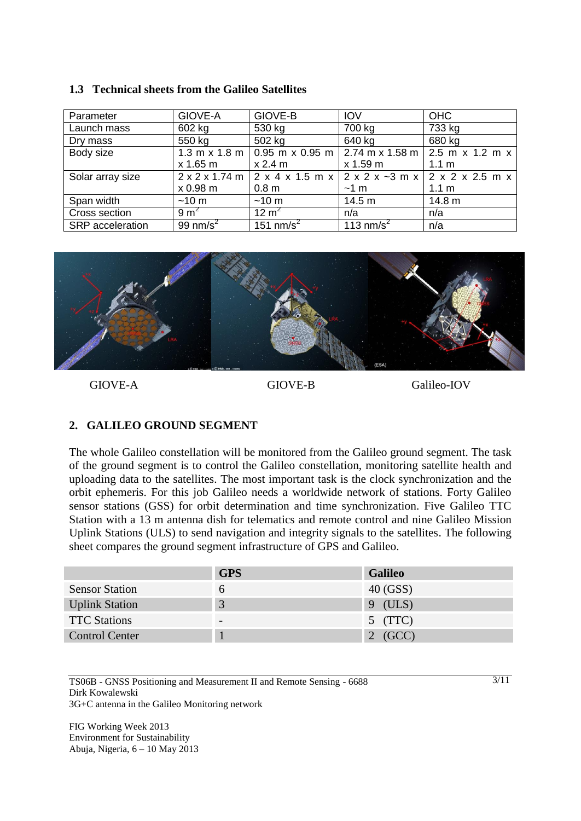| Parameter        | GIOVE-A         | GIOVE-B          | <b>IOV</b>            | <b>OHC</b>                                                                                                                     |
|------------------|-----------------|------------------|-----------------------|--------------------------------------------------------------------------------------------------------------------------------|
| Launch mass      | 602 kg          | 530 kg           | 700 kg                | 733 kg                                                                                                                         |
| Dry mass         | 550 kg          | 502 kg           | 640 kg                | 680 kg                                                                                                                         |
| Body size        |                 |                  |                       | 1.3 m x 1.8 m $\vert$ 0.95 m x 0.95 m $\vert$ 2.74 m x 1.58 m $\vert$ 2.5 m x 1.2 m x                                          |
|                  | x 1.65 m        | x 2.4 m          | x 1.59 m              | 1.1 <sub>m</sub>                                                                                                               |
| Solar array size |                 |                  |                       | $2 \times 2 \times 1.74$ m $2 \times 4 \times 1.5$ m $\times 2 \times 2 \times -3$ m $\times 2 \times 2 \times 2.5$ m $\times$ |
|                  | x 0.98 m        | 0.8 <sub>m</sub> | $~1$ m                | 1.1 <sub>m</sub>                                                                                                               |
| Span width       | $~10 \text{ m}$ | $~10 \text{ m}$  | 14.5 m                | 14.8 m                                                                                                                         |
| Cross section    | $9 \text{ m}^2$ | 12 $m^2$         | n/a                   | n/a                                                                                                                            |
| SRP acceleration | 99 nm/s $^{2}$  | 151 nm/s $^2$    | 113 nm/s <sup>2</sup> | n/a                                                                                                                            |

#### **1.3 Technical sheets from the Galileo Satellites**



GIOVE-A GIOVE-B GIOVE-B GALILEO-IOV

## **2. GALILEO GROUND SEGMENT**

The whole Galileo constellation will be monitored from the Galileo ground segment. The task of the ground segment is to control the Galileo constellation, monitoring satellite health and uploading data to the satellites. The most important task is the clock synchronization and the orbit ephemeris. For this job Galileo needs a worldwide network of stations. Forty Galileo sensor stations (GSS) for orbit determination and time synchronization. Five Galileo TTC Station with a 13 m antenna dish for telematics and remote control and nine Galileo Mission Uplink Stations (ULS) to send navigation and integrity signals to the satellites. The following sheet compares the ground segment infrastructure of GPS and Galileo.

|                       | <b>GPS</b> | <b>Galileo</b> |
|-----------------------|------------|----------------|
| <b>Sensor Station</b> | o          | 40 (GSS)       |
| <b>Uplink Station</b> | 3          | $9$ (ULS)      |
| <b>TTC Stations</b>   |            | $5$ (TTC)      |
| <b>Control Center</b> |            | $2$ (GCC)      |

TS06B - GNSS Positioning and Measurement II and Remote Sensing - 6688 Dirk Kowalewski 3G+C antenna in the Galileo Monitoring network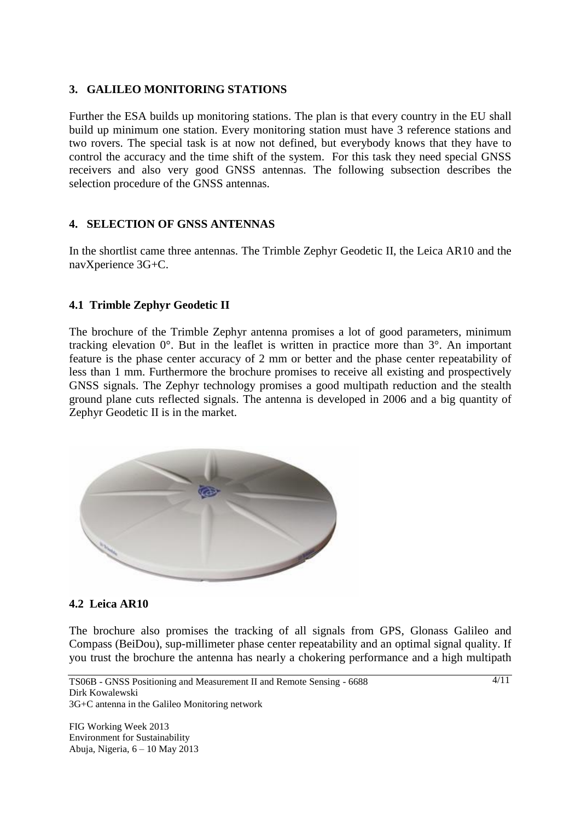## **3. GALILEO MONITORING STATIONS**

Further the ESA builds up monitoring stations. The plan is that every country in the EU shall build up minimum one station. Every monitoring station must have 3 reference stations and two rovers. The special task is at now not defined, but everybody knows that they have to control the accuracy and the time shift of the system. For this task they need special GNSS receivers and also very good GNSS antennas. The following subsection describes the selection procedure of the GNSS antennas.

## **4. SELECTION OF GNSS ANTENNAS**

In the shortlist came three antennas. The Trimble Zephyr Geodetic II, the Leica AR10 and the navXperience 3G+C.

## **4.1 Trimble Zephyr Geodetic II**

The brochure of the Trimble Zephyr antenna promises a lot of good parameters, minimum tracking elevation 0°. But in the leaflet is written in practice more than 3°. An important feature is the phase center accuracy of 2 mm or better and the phase center repeatability of less than 1 mm. Furthermore the brochure promises to receive all existing and prospectively GNSS signals. The Zephyr technology promises a good multipath reduction and the stealth ground plane cuts reflected signals. The antenna is developed in 2006 and a big quantity of Zephyr Geodetic II is in the market.



## **4.2 Leica AR10**

The brochure also promises the tracking of all signals from GPS, Glonass Galileo and Compass (BeiDou), sup-millimeter phase center repeatability and an optimal signal quality. If you trust the brochure the antenna has nearly a chokering performance and a high multipath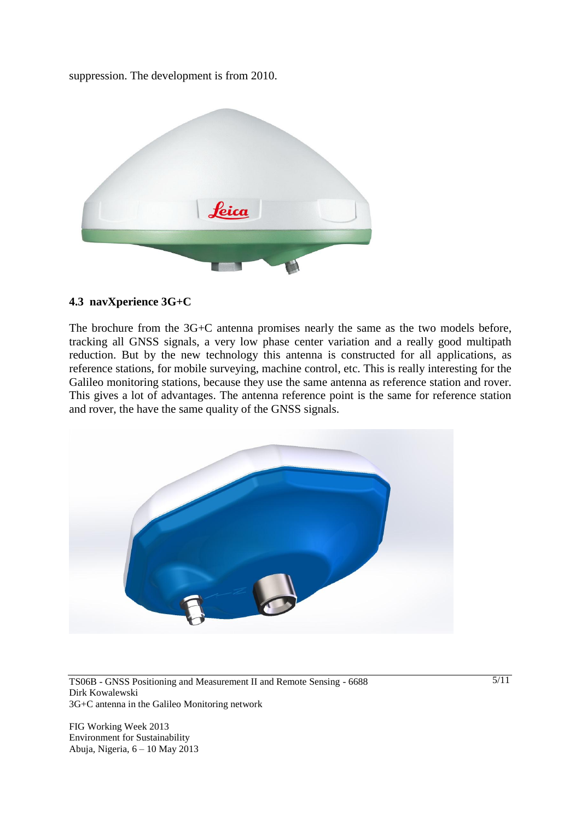suppression. The development is from 2010.



### **4.3 navXperience 3G+C**

The brochure from the 3G+C antenna promises nearly the same as the two models before, tracking all GNSS signals, a very low phase center variation and a really good multipath reduction. But by the new technology this antenna is constructed for all applications, as reference stations, for mobile surveying, machine control, etc. This is really interesting for the Galileo monitoring stations, because they use the same antenna as reference station and rover. This gives a lot of advantages. The antenna reference point is the same for reference station and rover, the have the same quality of the GNSS signals.



TS06B - GNSS Positioning and Measurement II and Remote Sensing - 6688 Dirk Kowalewski 3G+C antenna in the Galileo Monitoring network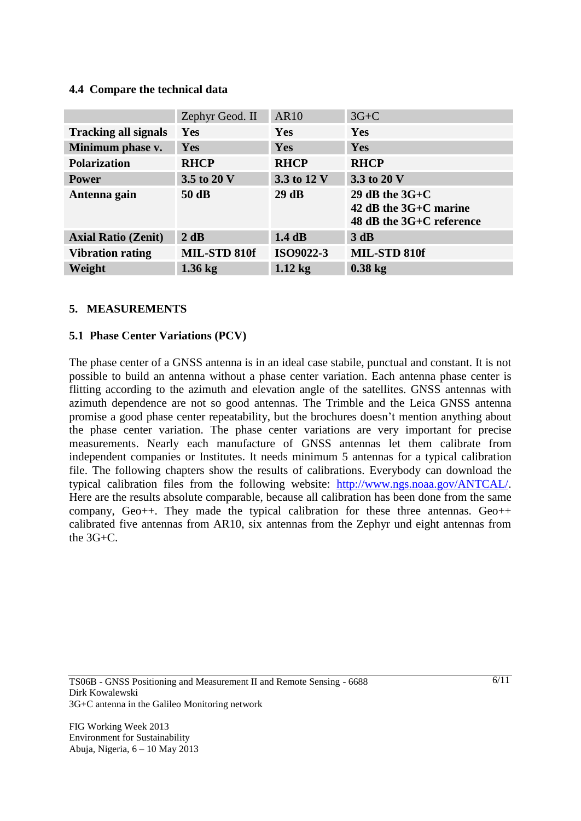## **4.4 Compare the technical data**

|                             | Zephyr Geod. II | <b>AR10</b> | $3G+C$                                                                |
|-----------------------------|-----------------|-------------|-----------------------------------------------------------------------|
| <b>Tracking all signals</b> | Yes             | Yes         | Yes                                                                   |
| Minimum phase v.            | Yes             | Yes         | Yes                                                                   |
| <b>Polarization</b>         | <b>RHCP</b>     | <b>RHCP</b> | <b>RHCP</b>                                                           |
| <b>Power</b>                | 3.5 to 20 V     | 3.3 to 12 V | 3.3 to 20 V                                                           |
| Antenna gain                | 50 dB           | 29dB        | 29 dB the $3G+C$<br>42 dB the 3G+C marine<br>48 dB the 3G+C reference |
| <b>Axial Ratio (Zenit)</b>  | 2 dB            | 1.4dB       | 3 dB                                                                  |
| <b>Vibration rating</b>     | MIL-STD 810f    | ISO9022-3   | MIL-STD 810f                                                          |
| Weight                      | $1.36$ kg       | $1.12$ kg   | $0.38$ kg                                                             |

#### **5. MEASUREMENTS**

#### **5.1 Phase Center Variations (PCV)**

The phase center of a GNSS antenna is in an ideal case stabile, punctual and constant. It is not possible to build an antenna without a phase center variation. Each antenna phase center is flitting according to the azimuth and elevation angle of the satellites. GNSS antennas with azimuth dependence are not so good antennas. The Trimble and the Leica GNSS antenna promise a good phase center repeatability, but the brochures doesn't mention anything about the phase center variation. The phase center variations are very important for precise measurements. Nearly each manufacture of GNSS antennas let them calibrate from independent companies or Institutes. It needs minimum 5 antennas for a typical calibration file. The following chapters show the results of calibrations. Everybody can download the typical calibration files from the following website: [http://www.ngs.noaa.gov/ANTCAL/.](http://www.ngs.noaa.gov/ANTCAL/) Here are the results absolute comparable, because all calibration has been done from the same company,  $Ge^{o++}$ . They made the typical calibration for these three antennas.  $Ge^{o++}$ calibrated five antennas from AR10, six antennas from the Zephyr und eight antennas from the 3G+C.

TS06B - GNSS Positioning and Measurement II and Remote Sensing - 6688 Dirk Kowalewski 3G+C antenna in the Galileo Monitoring network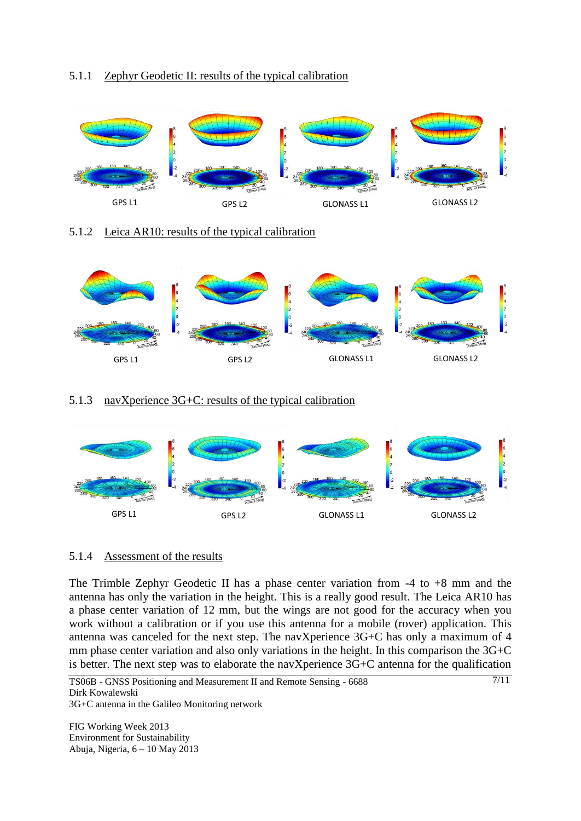## 5.1.1 Zephyr Geodetic II: results of the typical calibration



### 5.1.2 Leica AR10: results of the typical calibration



### 5.1.3 navXperience 3G+C: results of the typical calibration



## 5.1.4 Assessment of the results

The Trimble Zephyr Geodetic II has a phase center variation from  $-4$  to  $+8$  mm and the antenna has only the variation in the height. This is a really good result. The Leica AR10 has a phase center variation of 12 mm, but the wings are not good for the accuracy when you work without a calibration or if you use this antenna for a mobile (rover) application. This antenna was canceled for the next step. The navXperience 3G+C has only a maximum of 4 mm phase center variation and also only variations in the height. In this comparison the 3G+C is better. The next step was to elaborate the navXperience 3G+C antenna for the qualification

7/11

TS06B - GNSS Positioning and Measurement II and Remote Sensing - 6688 Dirk Kowalewski 3G+C antenna in the Galileo Monitoring network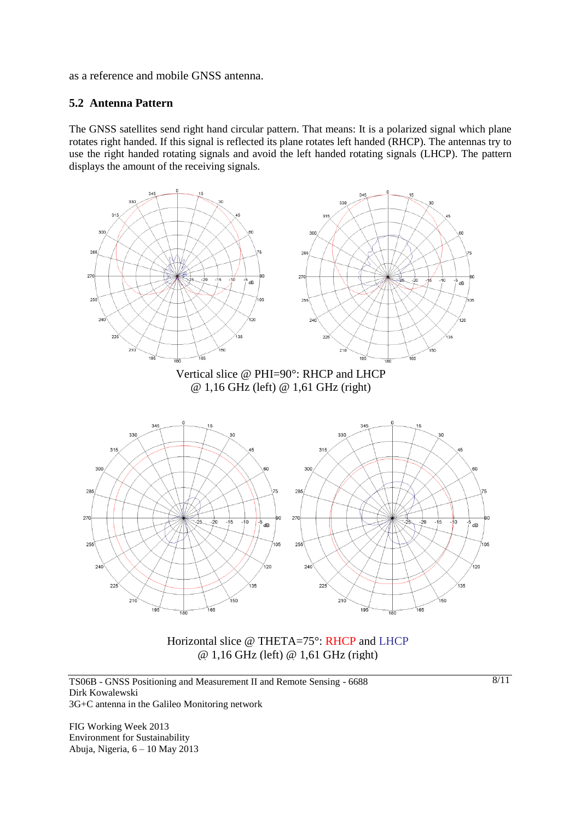as a reference and mobile GNSS antenna.

### **5.2 Antenna Pattern**

The GNSS satellites send right hand circular pattern. That means: It is a polarized signal which plane rotates right handed. If this signal is reflected its plane rotates left handed (RHCP). The antennas try to use the right handed rotating signals and avoid the left handed rotating signals (LHCP). The pattern displays the amount of the receiving signals.



Horizontal slice @ THETA=75°: RHCP and LHCP @ 1,16 GHz (left) @ 1,61 GHz (right)

TS06B - GNSS Positioning and Measurement II and Remote Sensing - 6688 Dirk Kowalewski 3G+C antenna in the Galileo Monitoring network

FIG Working Week 2013 Environment for Sustainability Abuja, Nigeria, 6 – 10 May 2013 8/11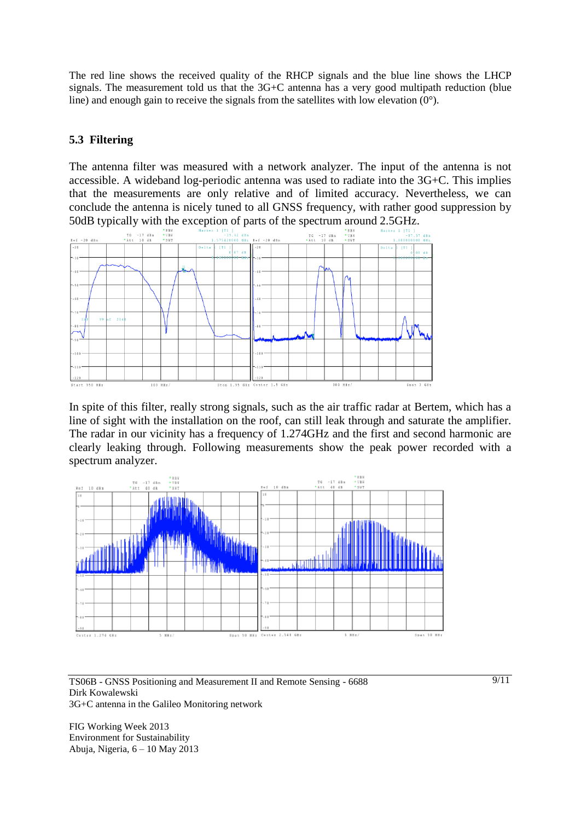The red line shows the received quality of the RHCP signals and the blue line shows the LHCP signals. The measurement told us that the 3G+C antenna has a very good multipath reduction (blue line) and enough gain to receive the signals from the satellites with low elevation  $(0^{\circ})$ .

## **5.3 Filtering**

The antenna filter was measured with a network analyzer. The input of the antenna is not accessible. A wideband log-periodic antenna was used to radiate into the 3G+C. This implies that the measurements are only relative and of limited accuracy. Nevertheless, we can conclude the antenna is nicely tuned to all GNSS frequency, with rather good suppression by 50dB typically with the exception of parts of the spectrum around 2.5GHz.



In spite of this filter, really strong signals, such as the air traffic radar at Bertem, which has a line of sight with the installation on the roof, can still leak through and saturate the amplifier. The radar in our vicinity has a frequency of 1.274GHz and the first and second harmonic are clearly leaking through. Following measurements show the peak power recorded with a spectrum analyzer.



TS06B - GNSS Positioning and Measurement II and Remote Sensing - 6688 Dirk Kowalewski 3G+C antenna in the Galileo Monitoring network

FIG Working Week 2013 Environment for Sustainability Abuja, Nigeria, 6 – 10 May 2013  $9/11$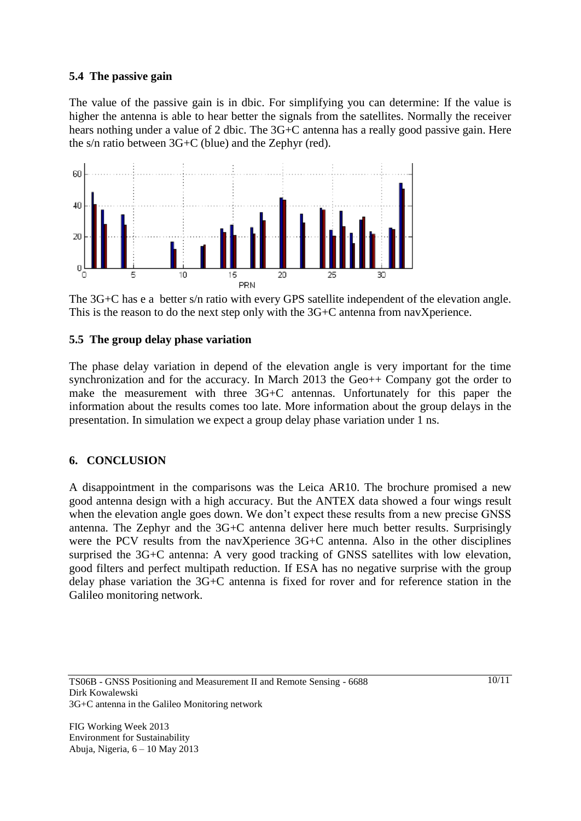### **5.4 The passive gain**

The value of the passive gain is in dbic. For simplifying you can determine: If the value is higher the antenna is able to hear better the signals from the satellites. Normally the receiver hears nothing under a value of 2 dbic. The 3G+C antenna has a really good passive gain. Here the s/n ratio between 3G+C (blue) and the Zephyr (red).



The 3G+C has e a better s/n ratio with every GPS satellite independent of the elevation angle. This is the reason to do the next step only with the 3G+C antenna from navXperience.

### **5.5 The group delay phase variation**

The phase delay variation in depend of the elevation angle is very important for the time synchronization and for the accuracy. In March 2013 the Geo++ Company got the order to make the measurement with three 3G+C antennas. Unfortunately for this paper the information about the results comes too late. More information about the group delays in the presentation. In simulation we expect a group delay phase variation under 1 ns.

## **6. CONCLUSION**

A disappointment in the comparisons was the Leica AR10. The brochure promised a new good antenna design with a high accuracy. But the ANTEX data showed a four wings result when the elevation angle goes down. We don't expect these results from a new precise GNSS antenna. The Zephyr and the 3G+C antenna deliver here much better results. Surprisingly were the PCV results from the navXperience 3G+C antenna. Also in the other disciplines surprised the 3G+C antenna: A very good tracking of GNSS satellites with low elevation, good filters and perfect multipath reduction. If ESA has no negative surprise with the group delay phase variation the 3G+C antenna is fixed for rover and for reference station in the Galileo monitoring network.